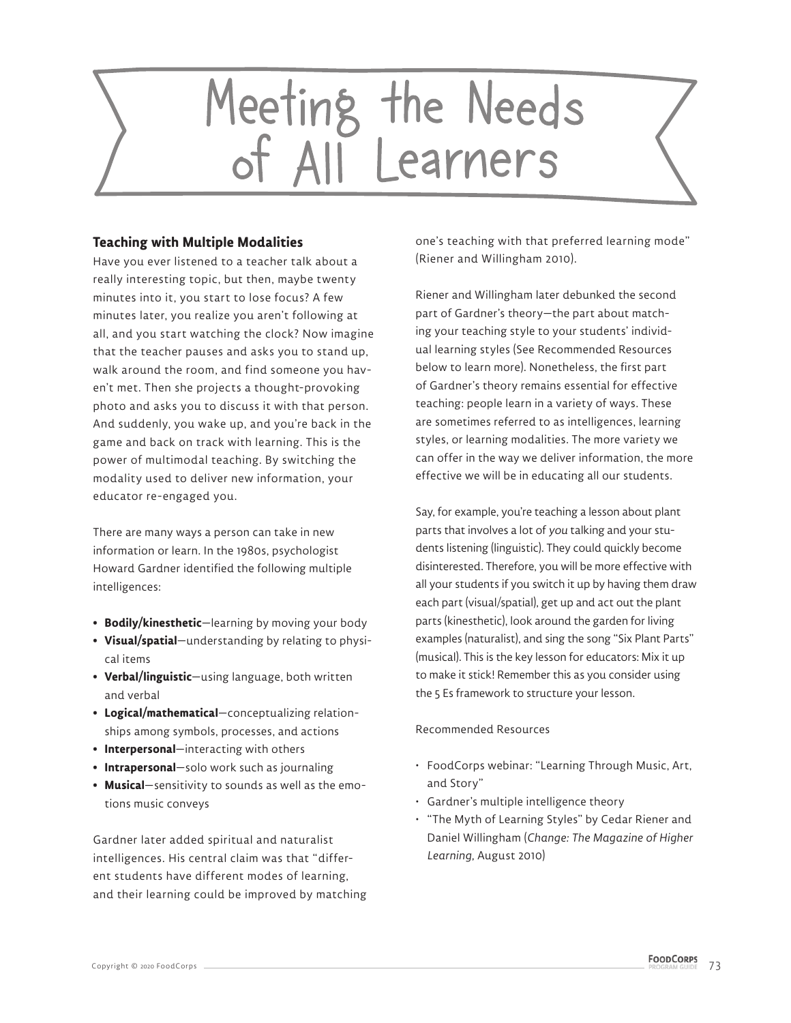

## **Teaching with Multiple Modalities**

Have you ever listened to a teacher talk about a really interesting topic, but then, maybe twenty minutes into it, you start to lose focus? A few minutes later, you realize you aren't following at all, and you start watching the clock? Now imagine that the teacher pauses and asks you to stand up, walk around the room, and find someone you haven't met. Then she projects a thought-provoking photo and asks you to discuss it with that person. And suddenly, you wake up, and you're back in the game and back on track with learning. This is the power of multimodal teaching. By switching the modality used to deliver new information, your educator re-engaged you.

There are many ways a person can take in new information or learn. In the 1980s, psychologist Howard Gardner identified the following multiple intelligences:

- **Bodily/kinesthetic**—learning by moving your body
- **Visual/spatial**—understanding by relating to physical items
- **Verbal/linguistic**—using language, both written and verbal
- **Logical/mathematical**—conceptualizing relationships among symbols, processes, and actions
- **Interpersonal**—interacting with others
- **Intrapersonal**—solo work such as journaling
- **Musical**—sensitivity to sounds as well as the emotions music conveys

Gardner later added spiritual and naturalist intelligences. His central claim was that "different students have different modes of learning, and their learning could be improved by matching one's teaching with that preferred learning mode" (Riener and Willingham 2010).

Riener and Willingham later debunked the second part of Gardner's theory—the part about matching your teaching style to your students' individual learning styles (See Recommended Resources below to learn more). Nonetheless, the first part of Gardner's theory remains essential for effective teaching: people learn in a variety of ways. These are sometimes referred to as intelligences, learning styles, or learning modalities. The more variety we can offer in the way we deliver information, the more effective we will be in educating all our students.

Say, for example, you're teaching a lesson about plant parts that involves a lot of you talking and your students listening (linguistic). They could quickly become disinterested. Therefore, you will be more effective with all your students if you switch it up by having them draw each part (visual/spatial), get up and act out the plant parts (kinesthetic), look around the garden for living examples (naturalist), and sing the song "Six Plant Parts" (musical). This is the key lesson for educators: Mix it up to make it stick! Remember this as you consider using the 5 Es framework to structure your lesson.

#### Recommended Resources

- FoodCorps webinar: "Learning Through Music, Art, and Story"
- Gardner's multiple intelligence theory
- "The Myth of Learning Styles" by Cedar Riener and Daniel Willingham (*Change: The Magazine of Higher Learning,* August 2010)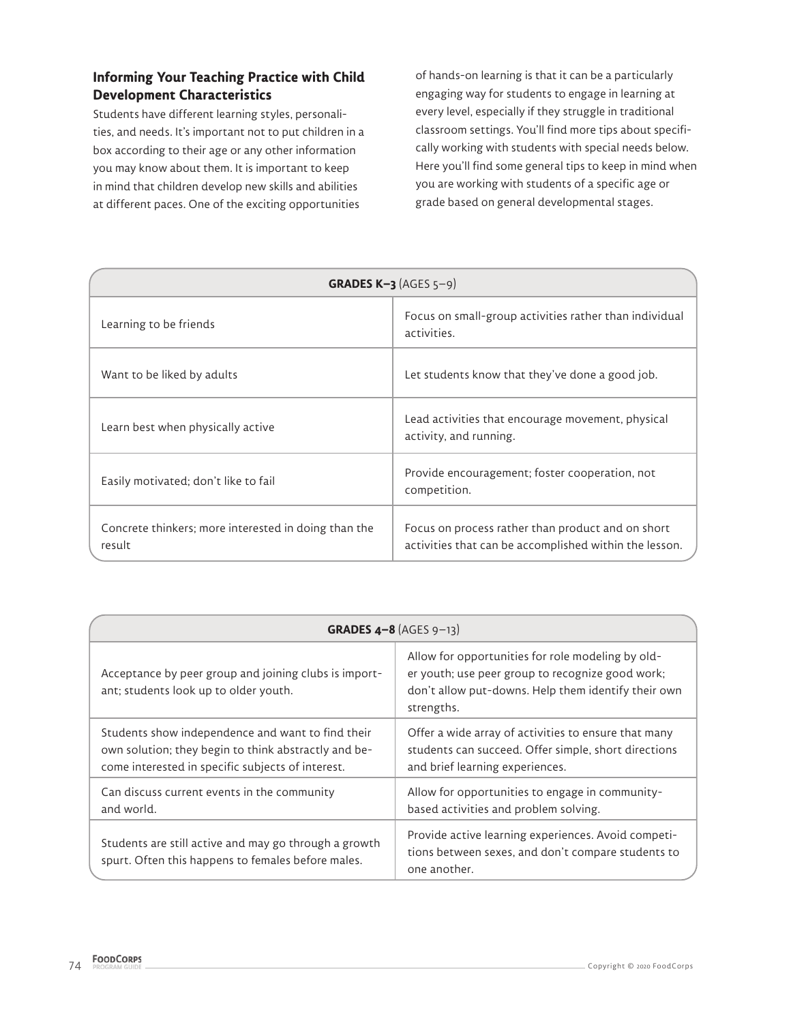# **Informing Your Teaching Practice with Child Development Characteristics**

Students have different learning styles, personalities, and needs. It's important not to put children in a box according to their age or any other information you may know about them. It is important to keep in mind that children develop new skills and abilities at different paces. One of the exciting opportunities

of hands-on learning is that it can be a particularly engaging way for students to engage in learning at every level, especially if they struggle in traditional classroom settings. You'll find more tips about specifically working with students with special needs below. Here you'll find some general tips to keep in mind when you are working with students of a specific age or grade based on general developmental stages.

| GRADES $K-3$ (AGES $5-9$ )                                     |                                                                                                             |
|----------------------------------------------------------------|-------------------------------------------------------------------------------------------------------------|
| Learning to be friends                                         | Focus on small-group activities rather than individual<br>activities.                                       |
| Want to be liked by adults                                     | Let students know that they've done a good job.                                                             |
| Learn best when physically active                              | Lead activities that encourage movement, physical<br>activity, and running.                                 |
| Easily motivated; don't like to fail                           | Provide encouragement; foster cooperation, not<br>competition.                                              |
| Concrete thinkers; more interested in doing than the<br>result | Focus on process rather than product and on short<br>activities that can be accomplished within the lesson. |

| <b>GRADES 4-8</b> (AGES 9-13)                                                                                                                                  |                                                                                                                                                                            |
|----------------------------------------------------------------------------------------------------------------------------------------------------------------|----------------------------------------------------------------------------------------------------------------------------------------------------------------------------|
| Acceptance by peer group and joining clubs is import-<br>ant; students look up to older youth.                                                                 | Allow for opportunities for role modeling by old-<br>er youth; use peer group to recognize good work;<br>don't allow put-downs. Help them identify their own<br>strengths. |
| Students show independence and want to find their<br>own solution; they begin to think abstractly and be-<br>come interested in specific subjects of interest. | Offer a wide array of activities to ensure that many<br>students can succeed. Offer simple, short directions<br>and brief learning experiences.                            |
| Can discuss current events in the community<br>and world.                                                                                                      | Allow for opportunities to engage in community-<br>based activities and problem solving.                                                                                   |
| Students are still active and may go through a growth<br>spurt. Often this happens to females before males.                                                    | Provide active learning experiences. Avoid competi-<br>tions between sexes, and don't compare students to<br>one another.                                                  |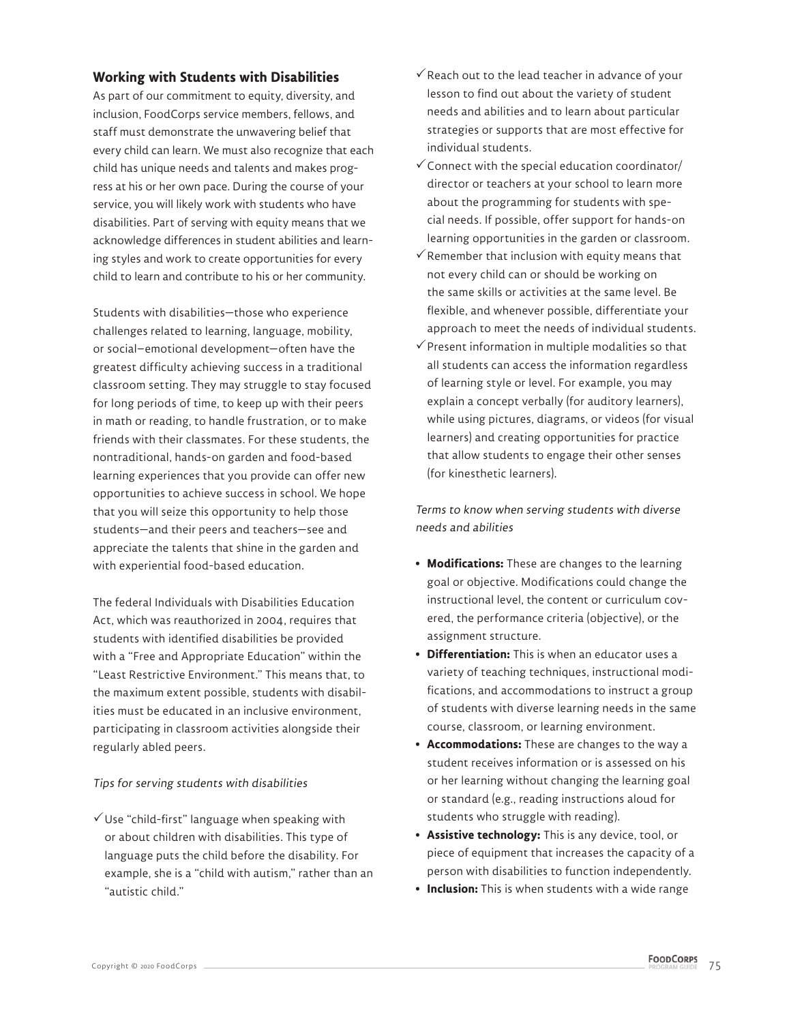## **Working with Students with Disabilities**

As part of our commitment to equity, diversity, and inclusion, FoodCorps service members, fellows, and staff must demonstrate the unwavering belief that every child can learn. We must also recognize that each child has unique needs and talents and makes progress at his or her own pace. During the course of your service, you will likely work with students who have disabilities. Part of serving with equity means that we acknowledge differences in student abilities and learning styles and work to create opportunities for every child to learn and contribute to his or her community.

Students with disabilities—those who experience challenges related to learning, language, mobility, or social–emotional development—often have the greatest difficulty achieving success in a traditional classroom setting. They may struggle to stay focused for long periods of time, to keep up with their peers in math or reading, to handle frustration, or to make friends with their classmates. For these students, the nontraditional, hands-on garden and food-based learning experiences that you provide can offer new opportunities to achieve success in school. We hope that you will seize this opportunity to help those students—and their peers and teachers—see and appreciate the talents that shine in the garden and with experiential food-based education.

The federal Individuals with Disabilities Education Act, which was reauthorized in 2004, requires that students with identified disabilities be provided with a "Free and Appropriate Education" within the "Least Restrictive Environment." This means that, to the maximum extent possible, students with disabilities must be educated in an inclusive environment, participating in classroom activities alongside their regularly abled peers.

#### Tips for serving students with disabilities

 $\checkmark$  Use "child-first" language when speaking with or about children with disabilities. This type of language puts the child before the disability. For example, she is a "child with autism," rather than an "autistic child."

- $\checkmark$  Reach out to the lead teacher in advance of your lesson to find out about the variety of student needs and abilities and to learn about particular strategies or supports that are most effective for individual students.
- $\checkmark$  Connect with the special education coordinator/ director or teachers at your school to learn more about the programming for students with special needs. If possible, offer support for hands-on learning opportunities in the garden or classroom.
- $\checkmark$  Remember that inclusion with equity means that not every child can or should be working on the same skills or activities at the same level. Be flexible, and whenever possible, differentiate your approach to meet the needs of individual students.
- $\checkmark$  Present information in multiple modalities so that all students can access the information regardless of learning style or level. For example, you may explain a concept verbally (for auditory learners), while using pictures, diagrams, or videos (for visual learners) and creating opportunities for practice that allow students to engage their other senses (for kinesthetic learners).

Terms to know when serving students with diverse needs and abilities

- **Modifications:** These are changes to the learning goal or objective. Modifications could change the instructional level, the content or curriculum covered, the performance criteria (objective), or the assignment structure.
- **Differentiation:** This is when an educator uses a variety of teaching techniques, instructional modifications, and accommodations to instruct a group of students with diverse learning needs in the same course, classroom, or learning environment.
- **Accommodations:** These are changes to the way a student receives information or is assessed on his or her learning without changing the learning goal or standard (e.g., reading instructions aloud for students who struggle with reading).
- **Assistive technology:** This is any device, tool, or piece of equipment that increases the capacity of a person with disabilities to function independently.
- **Inclusion:** This is when students with a wide range